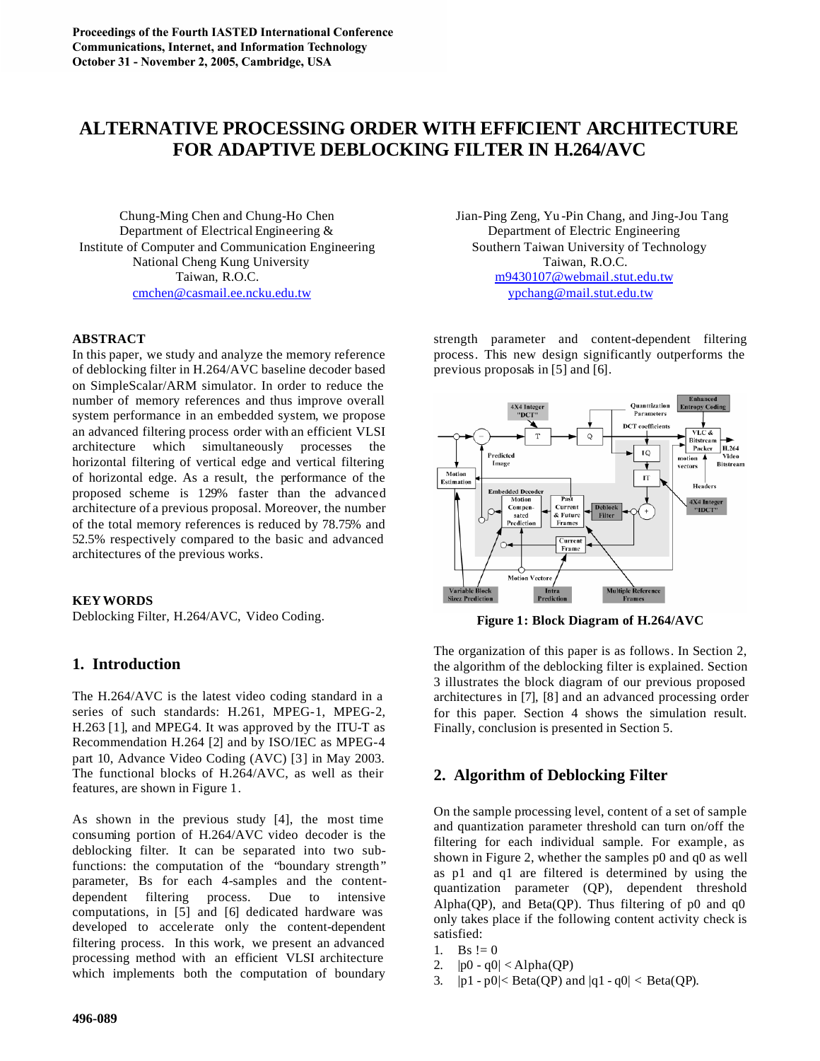# **ALTERNATIVE PROCESSING ORDER WITH EFFICIENT ARCHITECTURE FOR ADAPTIVE DEBLOCKING FILTER IN H.264/AVC**

Chung-Ming Chen and Chung-Ho Chen Jian -Ping Zeng, Yu -Pin Chang, and Jing-Jou Tang Department of Electrical Engineering & Department of Electric Engineering Institute of Computer and Communication Engineering Southern Taiwan University of Technology National Cheng Kung University Taiwan, R.O.C. cmchen@casmail.ee.ncku.edu.tw ypchang@mail.stut.edu.tw

## **ABSTRACT**

In this paper, we study and analyze the memory reference of deblocking filter in H.264/AVC baseline decoder based on SimpleScalar/ARM simulator. In order to reduce the number of memory references and thus improve overall system performance in an embedded system, we propose an advanced filtering process order with an efficient VLSI architecture which simultaneously processes the horizontal filtering of vertical edge and vertical filtering of horizontal edge. As a result, the performance of the proposed scheme is 129% faster than the advanced architecture of a previous proposal. Moreover, the number of the total memory references is reduced by 78.75% and 52.5% respectively compared to the basic and advanced architectures of the previous works.

### **KEY WORDS**

Deblocking Filter, H.264/AVC, Video Coding.

# **1. Introduction**

The H.264/AVC is the latest video coding standard in a series of such standards: H.261, MPEG-1, MPEG-2, H.263 [1], and MPEG4. It was approved by the ITU-T as Recommendation H.264 [2] and by ISO/IEC as MPEG-4 part 10, Advance Video Coding (AVC) [3] in May 2003. The functional blocks of H.264/AVC, as well as their features, are shown in Figure 1.

As shown in the previous study [4], the most time consuming portion of H.264/AVC video decoder is the deblocking filter. It can be separated into two subfunctions: the computation of the "boundary strength" parameter, Bs for each 4-samples and the contentdependent filtering process. Due to intensive computations, in [5] and [6] dedicated hardware was developed to accelerate only the content-dependent filtering process. In this work, we present an advanced processing method with an efficient VLSI architecture which implements both the computation of boundary

Taiwan, R.O.C. m9430107@webmail.stut.edu.tw

strength parameter and content-dependent filtering process. This new design significantly outperforms the previous proposals in [5] and [6].



**Figure 1: Block Diagram of H.264/AVC**

The organization of this paper is as follows. In Section 2, the algorithm of the deblocking filter is explained. Section 3 illustrates the block diagram of our previous proposed architectures in [7], [8] and an advanced processing order for this paper. Section 4 shows the simulation result. Finally, conclusion is presented in Section 5.

# **2. Algorithm of Deblocking Filter**

On the sample processing level, content of a set of sample and quantization parameter threshold can turn on/off the filtering for each individual sample. For example, as shown in Figure 2, whether the samples p0 and q0 as well as p1 and q1 are filtered is determined by using the quantization parameter (QP), dependent threshold Alpha(QP), and Beta(QP). Thus filtering of  $p0$  and  $q0$ only takes place if the following content activity check is satisfied:

- 1. Bs  $!= 0$
- 2.  $|p0 q0| < \text{Alpha}(QP)$
- 3.  $|p1 p0| < \text{Beta}(QP)$  and  $|q1 q0| < \text{Beta}(QP)$ .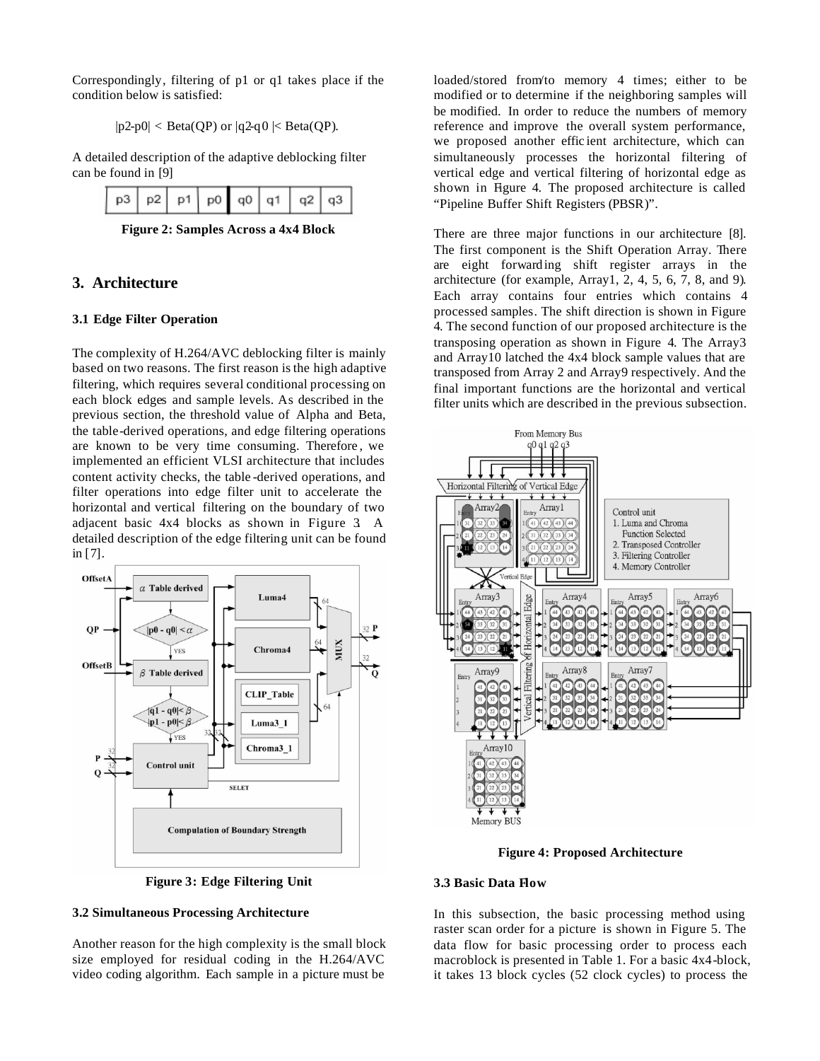Correspondingly, filtering of p1 or q1 takes place if the condition below is satisfied:

$$
|p2-p0| < Beta(QP) \text{ or } |q2-q0| < Beta(QP).
$$

A detailed description of the adaptive deblocking filter can be found in [9]

| p3 p2 p1 p0 q0 q1 q2 q3 |  |  |  |  |  |  |  |
|-------------------------|--|--|--|--|--|--|--|
|-------------------------|--|--|--|--|--|--|--|

**Figure 2: Samples Across a 4x4 Block**

## **3. Architecture**

### **3.1 Edge Filter Operation**

The complexity of H.264/AVC deblocking filter is mainly based on two reasons. The first reason is the high adaptive filtering, which requires several conditional processing on each block edges and sample levels. As described in the previous section, the threshold value of Alpha and Beta, the table-derived operations, and edge filtering operations are known to be very time consuming. Therefore , we implemented an efficient VLSI architecture that includes content activity checks, the table -derived operations, and filter operations into edge filter unit to accelerate the horizontal and vertical filtering on the boundary of two adjacent basic 4x4 blocks as shown in Figure 3. A detailed description of the edge filtering unit can be found in [7].





## **3.2 Simultaneous Processing Architecture**

Another reason for the high complexity is the small block size employed for residual coding in the H.264/AVC video coding algorithm. Each sample in a picture must be

loaded/stored from/to memory 4 times; either to be modified or to determine if the neighboring samples will be modified. In order to reduce the numbers of memory reference and improve the overall system performance, we proposed another effic ient architecture, which can simultaneously processes the horizontal filtering of vertical edge and vertical filtering of horizontal edge as shown in Figure 4. The proposed architecture is called "Pipeline Buffer Shift Registers (PBSR)".

There are three major functions in our architecture [8]. The first component is the Shift Operation Array. There are eight forwarding shift register arrays in the architecture (for example, Array1, 2, 4, 5, 6, 7, 8, and 9). Each array contains four entries which contains 4 processed samples. The shift direction is shown in Figure 4. The second function of our proposed architecture is the transposing operation as shown in Figure 4. The Array3 and Array10 latched the 4x4 block sample values that are transposed from Array 2 and Array9 respectively. And the final important functions are the horizontal and vertical filter units which are described in the previous subsection.



**Figure 4: Proposed Architecture**

## **3.3 Basic Data Flow**

In this subsection, the basic processing method using raster scan order for a picture is shown in Figure 5. The data flow for basic processing order to process each macroblock is presented in Table 1. For a basic 4x4-block, it takes 13 block cycles (52 clock cycles) to process the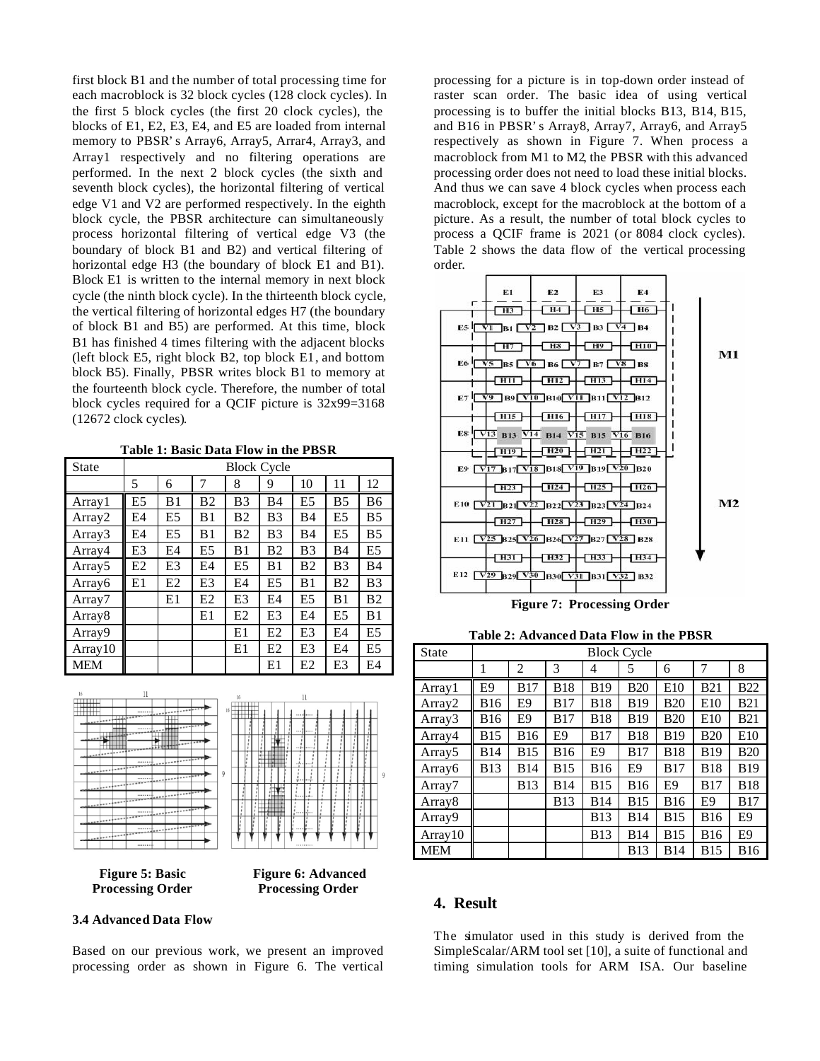first block B1 and the number of total processing time for each macroblock is 32 block cycles (128 clock cycles). In the first 5 block cycles (the first 20 clock cycles), the blocks of E1, E2, E3, E4, and E5 are loaded from internal memory to PBSR's Array6, Array5, Arrar4, Array3, and Array1 respectively and no filtering operations are performed. In the next 2 block cycles (the sixth and seventh block cycles), the horizontal filtering of vertical edge V1 and V2 are performed respectively. In the eighth block cycle, the PBSR architecture can simultaneously process horizontal filtering of vertical edge V3 (the boundary of block B1 and B2) and vertical filtering of horizontal edge H3 (the boundary of block E1 and B1). Block E1 is written to the internal memory in next block cycle (the ninth block cycle). In the thirteenth block cycle, the vertical filtering of horizontal edges H7 (the boundary of block B1 and B5) are performed. At this time, block B1 has finished 4 times filtering with the adjacent blocks (left block E5, right block B2, top block E1, and bottom block B5). Finally, PBSR writes block B1 to memory at the fourteenth block cycle. Therefore, the number of total block cycles required for a QCIF picture is 32x99=3168 (12672 clock cycles).

**Table 1: Basic Data Flow in the PBSR**

| <b>State</b>       | <b>Block Cycle</b> |                |                |                |                |                |                |                |
|--------------------|--------------------|----------------|----------------|----------------|----------------|----------------|----------------|----------------|
|                    | 5                  | 6              | 7              | 8              | 9              | 10             | 11             | 12             |
| Array 1            | E <sub>5</sub>     | B1             | <b>B2</b>      | B <sub>3</sub> | <b>B4</b>      | E <sub>5</sub> | <b>B5</b>      | B6             |
| Array2             | E4                 | E <sub>5</sub> | B1             | B <sub>2</sub> | B <sub>3</sub> | B4             | E <sub>5</sub> | <b>B5</b>      |
| Array3             | E4                 | E <sub>5</sub> | B1             | B <sub>2</sub> | B <sub>3</sub> | <b>B4</b>      | E <sub>5</sub> | B <sub>5</sub> |
| Array4             | E3                 | E4             | E <sub>5</sub> | B1             | B <sub>2</sub> | B <sub>3</sub> | <b>B4</b>      | E <sub>5</sub> |
| Array <sub>5</sub> | E2                 | E3             | E4             | E5             | B1             | B <sub>2</sub> | B <sub>3</sub> | <b>B4</b>      |
| Array6             | E1                 | E2             | E3             | E4             | E <sub>5</sub> | B1             | B <sub>2</sub> | B <sub>3</sub> |
| Array7             |                    | E1             | E2             | E <sub>3</sub> | E4             | E <sub>5</sub> | B <sub>1</sub> | B <sub>2</sub> |
| Array <sub>8</sub> |                    |                | E1             | E2             | E3             | E4             | E <sub>5</sub> | B1             |
| Array9             |                    |                |                | E1             | E2             | E3             | E <sub>4</sub> | E <sub>5</sub> |
| Array10            |                    |                |                | E1             | E2             | E3             | E4             | E5             |
| MEM                |                    |                |                |                | E1             | E2             | E3             | E4             |





## **3.4 Advanced Data Flow**

Based on our previous work, we present an improved processing order as shown in Figure 6. The vertical

processing for a picture is in top-down order instead of raster scan order. The basic idea of using vertical processing is to buffer the initial blocks B13, B14, B15, and B16 in PBSR's Array8, Array7, Array6, and Array5 respectively as shown in Figure 7. When process a macroblock from M1 to M2, the PBSR with this advanced processing order does not need to load these initial blocks. And thus we can save 4 block cycles when process each macroblock, except for the macroblock at the bottom of a picture. As a result, the number of total block cycles to process a QCIF frame is 2021 (or 8084 clock cycles). Table 2 shows the data flow of the vertical processing order.



**Figure 7: Processing Order**

**Table 2: Advanced Data Flow in the PBSR**

| State              | <b>Block Cycle</b> |                |             |                |             |                |                 |                |
|--------------------|--------------------|----------------|-------------|----------------|-------------|----------------|-----------------|----------------|
|                    | 1                  | $\overline{c}$ | 3           | 4              | 5           | 6              | 7               | 8              |
| Array1             | E <sub>9</sub>     | <b>B17</b>     | <b>B18</b>  | <b>B</b> 19    | <b>B20</b>  | E10            | <b>B21</b>      | <b>B22</b>     |
| Array2             | <b>B</b> 16        | E9             | <b>B17</b>  | <b>B18</b>     | <b>B</b> 19 | <b>B20</b>     | E <sub>10</sub> | <b>B21</b>     |
| Array3             | <b>B</b> 16        | E9             | <b>B17</b>  | <b>B18</b>     | <b>B</b> 19 | <b>B20</b>     | E10             | <b>B21</b>     |
| Array4             | B <sub>15</sub>    | <b>B</b> 16    | E9          | <b>B17</b>     | <b>B18</b>  | <b>B</b> 19    | <b>B20</b>      | E10            |
| Array5             | <b>B</b> 14        | <b>B</b> 15    | <b>B16</b>  | E <sub>9</sub> | <b>B17</b>  | <b>B18</b>     | <b>B</b> 19     | <b>B20</b>     |
| Array6             | <b>B</b> 13        | <b>B14</b>     | <b>B</b> 15 | <b>B16</b>     | E9          | <b>B17</b>     | <b>B18</b>      | <b>B</b> 19    |
| Array7             |                    | <b>B</b> 13    | <b>B14</b>  | <b>B</b> 15    | <b>B16</b>  | E <sub>9</sub> | <b>B17</b>      | <b>B18</b>     |
| Array <sub>8</sub> |                    |                | <b>B</b> 13 | <b>B14</b>     | <b>B</b> 15 | <b>B</b> 16    | E <sub>9</sub>  | <b>B17</b>     |
| Array9             |                    |                |             | <b>B</b> 13    | <b>B14</b>  | <b>B</b> 15    | <b>B16</b>      | E <sub>9</sub> |
| Array10            |                    |                |             | <b>B</b> 13    | <b>B14</b>  | <b>B</b> 15    | <b>B16</b>      | E <sub>9</sub> |
| <b>MEM</b>         |                    |                |             |                | <b>B</b> 13 | <b>B</b> 14    | <b>B15</b>      | <b>B16</b>     |

### **4. Result**

The simulator used in this study is derived from the SimpleScalar/ARM tool set [10], a suite of functional and timing simulation tools for ARM ISA. Our baseline